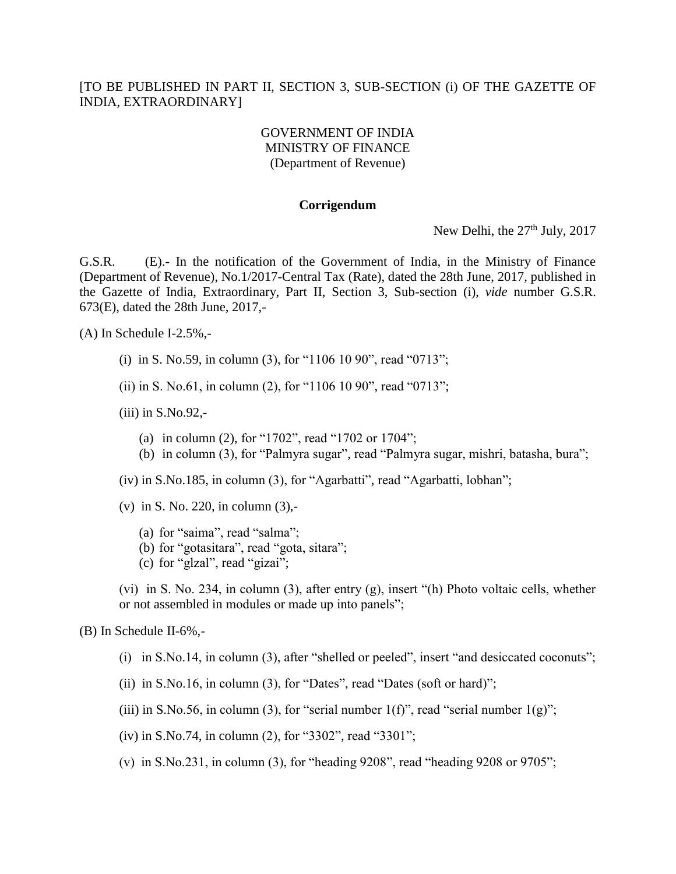## [TO BE PUBLISHED IN PART II, SECTION 3, SUB-SECTION (i) OF THE GAZETTE OF INDIA, EXTRAORDINARY]

## GOVERNMENT OF INDIA MINISTRY OF FINANCE (Department of Revenue)

## **Corrigendum**

New Delhi, the 27<sup>th</sup> July, 2017

G.S.R. (E).- In the notification of the Government of India, in the Ministry of Finance (Department of Revenue), No.1/2017-Central Tax (Rate), dated the 28th June, 2017, published in the Gazette of India, Extraordinary, Part II, Section 3, Sub-section (i), *vide* number G.S.R. 673(E), dated the 28th June, 2017,-

(A) In Schedule I-2.5%,-

- (i) in S. No.59, in column (3), for "1106 10 90", read "0713";
- (ii) in S. No.61, in column (2), for "1106 10 90", read "0713";

(iii) in S.No.92,-

- (a) in column (2), for "1702", read "1702 or 1704";
- (b) in column (3), for "Palmyra sugar", read "Palmyra sugar, mishri, batasha, bura";

(iv) in S.No.185, in column (3), for "Agarbatti", read "Agarbatti, lobhan";

- (v) in S. No. 220, in column (3),-
	- (a) for "saima", read "salma";
	- (b) for "gotasitara", read "gota, sitara";
	- (c) for "glzal", read "gizai";

(vi) in S. No. 234, in column (3), after entry (g), insert "(h) Photo voltaic cells, whether or not assembled in modules or made up into panels";

## (B) In Schedule II-6%,-

- (i) in S.No.14, in column (3), after "shelled or peeled", insert "and desiccated coconuts";
- (ii) in  $S.No.16$ , in column (3), for "Dates", read "Dates (soft or hard)";
- (iii) in S.No.56, in column (3), for "serial number  $1(f)$ ", read "serial number  $1(g)$ ";
- (iv) in S.No.74, in column (2), for "3302", read "3301";
- (v) in S.No.231, in column (3), for "heading 9208", read "heading 9208 or 9705";